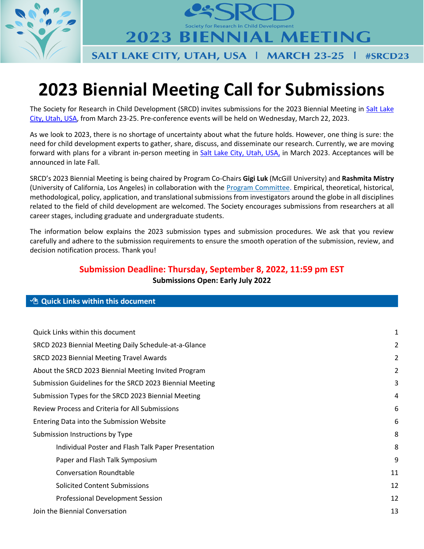

**2023 BIENNIAL MEETING** SALT LAKE CITY, UTAH, USA | MARCH 23-25  $|$  #SRCD23

# **2023 Biennial Meeting Call for Submissions**

The Society for Research in Child Development (SRCD) invites submissions for the 2023 Biennial Meeting in [Salt Lake](https://www.visitsaltlake.com/)  [City, Utah, USA,](https://www.visitsaltlake.com/) from March 23-25. Pre-conference events will be held on Wednesday, March 22, 2023.

As we look to 2023, there is no shortage of uncertainty about what the future holds. However, one thing is sure: the need for child development experts to gather, share, discuss, and disseminate our research. Currently, we are moving forward with plans for a vibrant in-person meeting in [Salt Lake City, Utah, USA,](https://www.visitsaltlake.com/) in March 2023. Acceptances will be announced in late Fall.

SRCD's 2023 Biennial Meeting is being chaired by Program Co-Chairs **Gigi Luk** (McGill University) and **Rashmita Mistry** (University of California, Los Angeles) in collaboration with the [Program Committee.](https://www.srcd.org/about-us/who-we-are/committees/program) Empirical, theoretical, historical, methodological, policy, application, and translational submissions from investigators around the globe in all disciplines related to the field of child development are welcomed. The Society encourages submissions from researchers at all career stages, including graduate and undergraduate students.

The information below explains the 2023 submission types and submission procedures. We ask that you review carefully and adhere to the submission requirements to ensure the smooth operation of the submission, review, and decision notification process. Thank you!

# **Submission Deadline: Thursday, September 8, 2022, 11:59 pm EST Submissions Open: Early July 2022**

### <span id="page-0-0"></span>**<sup><sup>n</sup></del></sup> Quick Links within this document**

| Quick Links within this document                         | 1  |
|----------------------------------------------------------|----|
| SRCD 2023 Biennial Meeting Daily Schedule-at-a-Glance    | 2  |
| SRCD 2023 Biennial Meeting Travel Awards                 | 2  |
| About the SRCD 2023 Biennial Meeting Invited Program     | 2  |
| Submission Guidelines for the SRCD 2023 Biennial Meeting | 3  |
| Submission Types for the SRCD 2023 Biennial Meeting      | 4  |
| <b>Review Process and Criteria for All Submissions</b>   | 6  |
| Entering Data into the Submission Website                | 6  |
| Submission Instructions by Type                          | 8  |
| Individual Poster and Flash Talk Paper Presentation      | 8  |
| Paper and Flash Talk Symposium                           | 9  |
| <b>Conversation Roundtable</b>                           | 11 |
| <b>Solicited Content Submissions</b>                     | 12 |
| <b>Professional Development Session</b>                  | 12 |
| Join the Biennial Conversation                           | 13 |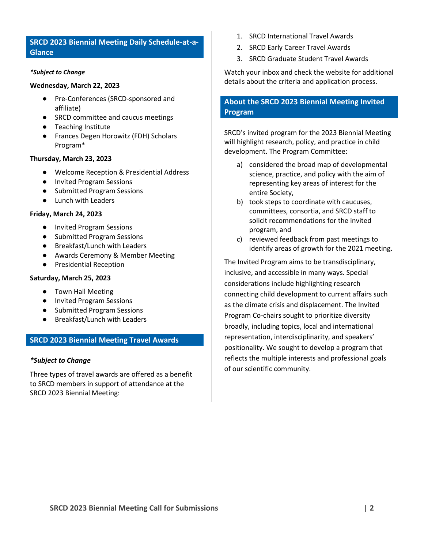## <span id="page-1-0"></span>**SRCD 2023 Biennial Meeting Daily Schedule-at-a-Glance**

#### *\*Subject to Change*

#### **Wednesday, March 22, 2023**

- Pre-Conferences (SRCD-sponsored and affiliate)
- SRCD committee and caucus meetings
- Teaching Institute
- Frances Degen Horowitz (FDH) Scholars Program\*

#### **Thursday, March 23, 2023**

- Welcome Reception & Presidential Address
- Invited Program Sessions
- Submitted Program Sessions
- Lunch with Leaders

#### **Friday, March 24, 2023**

- Invited Program Sessions
- Submitted Program Sessions
- Breakfast/Lunch with Leaders
- Awards Ceremony & Member Meeting
- Presidential Reception

#### **Saturday, March 25, 2023**

- Town Hall Meeting
- Invited Program Sessions
- Submitted Program Sessions
- Breakfast/Lunch with Leaders

#### <span id="page-1-1"></span>**SRCD 2023 Biennial Meeting Travel Awards**

#### *\*Subject to Change*

Three types of travel awards are offered as a benefit to SRCD members in support of attendance at the SRCD 2023 Biennial Meeting:

- 1. SRCD International Travel Awards
- 2. SRCD Early Career Travel Awards
- 3. SRCD Graduate Student Travel Awards

Watch your inbox and check the website for additional details about the criteria and application process.

## <span id="page-1-2"></span>**About the SRCD 2023 Biennial Meeting Invited Program**

SRCD's invited program for the 2023 Biennial Meeting will highlight research, policy, and practice in child development. The Program Committee:

- a) considered the broad map of developmental science, practice, and policy with the aim of representing key areas of interest for the entire Society,
- b) took steps to coordinate with caucuses, committees, consortia, and SRCD staff to solicit recommendations for the invited program, and
- c) reviewed feedback from past meetings to identify areas of growth for the 2021 meeting.

The Invited Program aims to be transdisciplinary, inclusive, and accessible in many ways. Special considerations include highlighting research connecting child development to current affairs such as the climate crisis and displacement. The Invited Program Co-chairs sought to prioritize diversity broadly, including topics, local and international representation, interdisciplinarity, and speakers' positionality. We sought to develop a program that reflects the multiple interests and professional goals of our scientific community.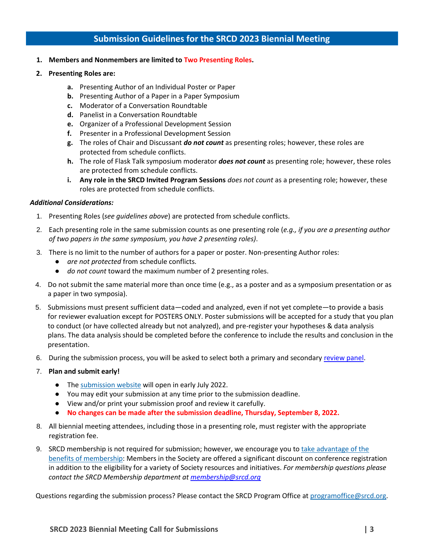# **Submission Guidelines for the SRCD 2023 Biennial Meeting**

- <span id="page-2-0"></span>**1. Members and Nonmembers are limited to Two Presenting Roles.**
- **2. Presenting Roles are:**
	- **a.** Presenting Author of an Individual Poster or Paper
	- **b.** Presenting Author of a Paper in a Paper Symposium
	- **c.** Moderator of a Conversation Roundtable
	- **d.** Panelist in a Conversation Roundtable
	- **e.** Organizer of a Professional Development Session
	- **f.** Presenter in a Professional Development Session
	- **g.** The roles of Chair and Discussant *do not count* as presenting roles; however, these roles are protected from schedule conflicts.
	- **h.** The role of Flask Talk symposium moderator *does not count* as presenting role; however, these roles are protected from schedule conflicts.
	- **i. Any role in the SRCD Invited Program Sessions** *does not count* as a presenting role; however, these roles are protected from schedule conflicts.

#### *Additional Considerations:*

- 1. Presenting Roles (*see guidelines above*) are protected from schedule conflicts.
- 2. Each presenting role in the same submission counts as one presenting role (*e.g., if you are a presenting author of two papers in the same symposium, you have 2 presenting roles)*.
- 3. There is no limit to the number of authors for a paper or poster. Non-presenting Author roles:
	- *are not protected* from schedule conflicts*.*
	- *do not count* toward the maximum number of 2 presenting roles.
- 4. Do not submit the same material more than once time (e.g., as a poster and as a symposium presentation or as a paper in two symposia).
- 5. Submissions must present sufficient data—coded and analyzed, even if not yet complete—to provide a basis for reviewer evaluation except for POSTERS ONLY. Poster submissions will be accepted for a study that you plan to conduct (or have collected already but not analyzed), and pre-register your hypotheses & data analysis plans. The data analysis should be completed before the conference to include the results and conclusion in the presentation.
- 6. During the submission process, you will be asked to select both a primary and secondary [review panel.](https://www.srcd.org/sites/default/files/file-attachments/2023%20SRCD%20Panels%20and%20Topics.pdf)
- 7. **Plan and submit early!**
	- The [submission website](https://www.srcd.org/event/srcd-2023-biennial-meeting/call-submissions) will open in early July 2022.
	- You may edit your submission at any time prior to the submission deadline.
	- View and/or print your submission proof and review it carefully.
	- **No changes can be made after the submission deadline, Thursday, September 8, 2022.**
- 8. All biennial meeting attendees, including those in a presenting role, must register with the appropriate registration fee.
- 9. SRCD membership is not required for submission; however, we encourage you to take advantage of the [benefits of membership:](http://www.srcd.org/membership) Members in the Society are offered a significant discount on conference registration in addition to the eligibility for a variety of Society resources and initiatives. *For membership questions please contact the SRCD Membership department at [membership@srcd.org](mailto:membership@srcd.org)*

Questions regarding the submission process? Please contact the SRCD Program Office at [programoffice@srcd.org.](mailto:programoffice@srcd.org)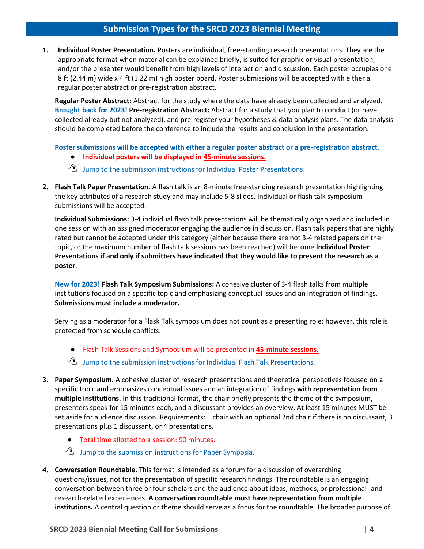## **Submission Types for the SRCD 2023 Biennial Meeting**

<span id="page-3-0"></span>**1. Individual Poster Presentation.** Posters are individual, free-standing research presentations. They are the appropriate format when material can be explained briefly, is suited for graphic or visual presentation, and/or the presenter would benefit from high levels of interaction and discussion. Each poster occupies one 8 ft (2.44 m) wide x 4 ft (1.22 m) high poster board. Poster submissions will be accepted with either a regular poster abstract or pre-registration abstract.

**Regular Poster Abstract:** Abstract for the study where the data have already been collected and analyzed. **Brought back for 2023! Pre-registration Abstract:** Abstract for a study that you plan to conduct (or have collected already but not analyzed), and pre-register your hypotheses & data analysis plans. The data analysis should be completed before the conference to include the results and conclusion in the presentation.

**Poster submissions will be accepted with either a regular poster abstract or a pre-registration abstract.**

- **Individual posters will be displayed in 45-minute sessions.**
- $\sqrt{2}$  [Jump to the submission instructions for Individual Poster Presentations.](#page-7-1)
- **2. Flash Talk Paper Presentation.** A flash talk is an 8-minute free-standing research presentation highlighting the key attributes of a research study and may include 5-8 slides. Individual or flash talk symposium submissions will be accepted.

**Individual Submissions:** 3-4 individual flash talk presentations will be thematically organized and included in one session with an assigned moderator engaging the audience in discussion. Flash talk papers that are highly rated but cannot be accepted under this category (either because there are not 3-4 related papers on the topic, or the maximum number of flash talk sessions has been reached) will become **Individual Poster Presentations if and only if submitters have indicated that they would like to present the research as a poster**.

**New for 2023! Flash Talk Symposium Submissions:** A cohesive cluster of 3-4 flash talks from multiple institutions focused on a specific topic and emphasizing conceptual issues and an integration of findings. **Submissions must include a moderator.**

Serving as a moderator for a Flask Talk symposium does not count as a presenting role; however, this role is protected from schedule conflicts.

- Flash Talk Sessions and Symposium will be presented in **45-minute sessions.**
- $\sqrt{2}$  [Jump to the submission instructions for Individual Flash Talk Presentations.](#page-7-1)
- **3. Paper Symposium.** A cohesive cluster of research presentations and theoretical perspectives focused on a specific topic and emphasizes conceptual issues and an integration of findings **with representation from multiple institutions.** In this traditional format, the chair briefly presents the theme of the symposium, presenters speak for 15 minutes each, and a discussant provides an overview. At least 15 minutes MUST be set aside for audience discussion. Requirements: 1 chair with an optional 2nd chair if there is no discussant, 3 presentations plus 1 discussant, or 4 presentations.
	- Total time allotted to a session: 90 minutes.
	- $\sqrt{2}$  Jump to the submission instructions for Paper Symposia.
- **4. Conversation Roundtable.** This format is intended as a forum for a discussion of overarching questions/issues, not for the presentation of specific research findings. The roundtable is an engaging conversation between three or four scholars and the audience about ideas, methods, or professional- and research-related experiences. **A conversation roundtable must have representation from multiple institutions.** A central question or theme should serve as a focus for the roundtable. The broader purpose of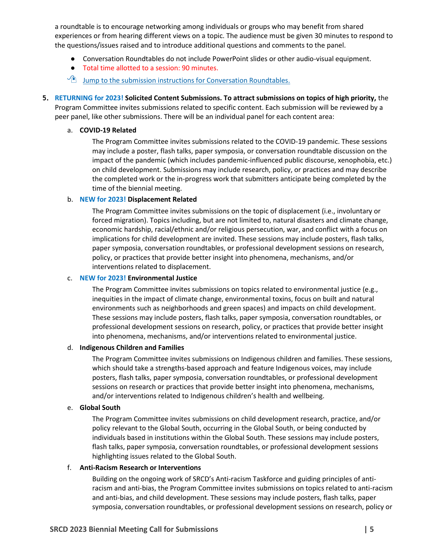a roundtable is to encourage networking among individuals or groups who may benefit from shared experiences or from hearing different views on a topic. The audience must be given 30 minutes to respond to the questions/issues raised and to introduce additional questions and comments to the panel.

- Conversation Roundtables do not include PowerPoint slides or other audio-visual equipment.
- Total time allotted to a session: 90 minutes.
- $\sqrt{2}$  [Jump to the submission instructions for Conversation Roundtables.](#page-10-0)
- **5. RETURNING for 2023! Solicited Content Submissions. To attract submissions on topics of high priority,** the Program Committee invites submissions related to specific content. Each submission will be reviewed by a peer panel, like other submissions. There will be an individual panel for each content area:

#### a. **COVID-19 Related**

The Program Committee invites submissions related to the COVID-19 pandemic. These sessions may include a poster, flash talks, paper symposia, or conversation roundtable discussion on the impact of the pandemic (which includes pandemic-influenced public discourse, xenophobia, etc.) on child development. Submissions may include research, policy, or practices and may describe the completed work or the in-progress work that submitters anticipate being completed by the time of the biennial meeting.

#### b. **NEW for 2023! Displacement Related**

The Program Committee invites submissions on the topic of displacement (i.e., involuntary or forced migration). Topics including, but are not limited to, natural disasters and climate change, economic hardship, racial/ethnic and/or religious persecution, war, and conflict with a focus on implications for child development are invited. These sessions may include posters, flash talks, paper symposia, conversation roundtables, or professional development sessions on research, policy, or practices that provide better insight into phenomena, mechanisms, and/or interventions related to displacement.

#### c. **NEW for 2023! Environmental Justice**

The Program Committee invites submissions on topics related to environmental justice (e.g., inequities in the impact of climate change, environmental toxins, focus on built and natural environments such as neighborhoods and green spaces) and impacts on child development. These sessions may include posters, flash talks, paper symposia, conversation roundtables, or professional development sessions on research, policy, or practices that provide better insight into phenomena, mechanisms, and/or interventions related to environmental justice.

#### d. **Indigenous Children and Families**

The Program Committee invites submissions on Indigenous children and families. These sessions, which should take a strengths-based approach and feature Indigenous voices, may include posters, flash talks, paper symposia, conversation roundtables, or professional development sessions on research or practices that provide better insight into phenomena, mechanisms, and/or interventions related to Indigenous children's health and wellbeing.

#### e. **Global South**

The Program Committee invites submissions on child development research, practice, and/or policy relevant to the Global South, occurring in the Global South, or being conducted by individuals based in institutions within the Global South. These sessions may include posters, flash talks, paper symposia, conversation roundtables, or professional development sessions highlighting issues related to the Global South.

#### f. **Anti-Racism Research or Interventions**

Building on the ongoing work of SRCD's Anti-racism Taskforce and guiding principles of antiracism and anti-bias, the Program Committee invites submissions on topics related to anti-racism and anti-bias, and child development. These sessions may include posters, flash talks, paper symposia, conversation roundtables, or professional development sessions on research, policy or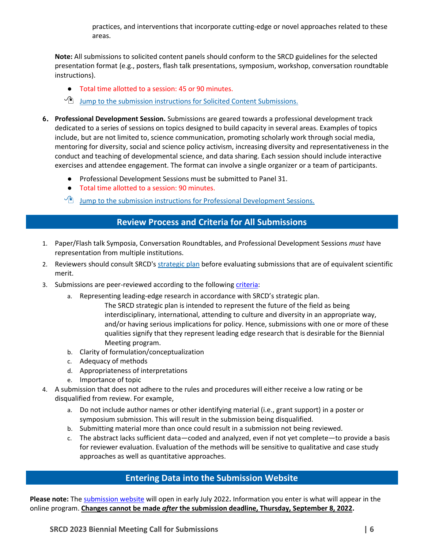practices, and interventions that incorporate cutting-edge or novel approaches related to these areas.

**Note:** All submissions to solicited content panels should conform to the SRCD guidelines for the selected presentation format (e.g., posters, flash talk presentations, symposium, workshop, conversation roundtable instructions).

- Total time allotted to a session: 45 or 90 minutes.
- $\sqrt{2}$  [Jump to the submission instructions for Solicited Content Submissions.](#page-11-0)
- **6. Professional Development Session.** Submissions are geared towards a professional development track dedicated to a series of sessions on topics designed to build capacity in several areas. Examples of topics include, but are not limited to, science communication, promoting scholarly work through social media, mentoring for diversity, social and science policy activism, increasing diversity and representativeness in the conduct and teaching of developmental science, and data sharing. Each session should include interactive exercises and attendee engagement. The format can involve a single organizer or a team of participants.
	- Professional Development Sessions must be submitted to Panel 31.
	- Total time allotted to a session: 90 minutes.
	- $\sqrt{2}$  [Jump to the submission instructions for Professional Development Sessions.](#page-11-1)

# <span id="page-5-0"></span>**Review Process and Criteria for All Submissions**

- 1. Paper/Flash talk Symposia, Conversation Roundtables, and Professional Development Sessions *must* have representation from multiple institutions.
- 2. Reviewers should consult SRCD's [strategic plan](https://www.srcd.org/about-us/mission-scientific-vision) before evaluating submissions that are of equivalent scientific merit.
- 3. Submissions are peer-reviewed according to the followin[g criteria:](https://www.srcd.org/event/srcd-2023-biennial-meeting/call-reviewers)
	- a. Representing leading-edge research in accordance with SRCD's strategic plan.
		- The SRCD strategic plan is intended to represent the future of the field as being interdisciplinary, international, attending to culture and diversity in an appropriate way, and/or having serious implications for policy. Hence, submissions with one or more of these qualities signify that they represent leading edge research that is desirable for the Biennial Meeting program.
	- b. Clarity of formulation/conceptualization
	- c. Adequacy of methods
	- d. Appropriateness of interpretations
	- e. Importance of topic
- 4. A submission that does not adhere to the rules and procedures will either receive a low rating or be disqualified from review. For example,
	- a. Do not include author names or other identifying material (i.e., grant support) in a poster or symposium submission. This will result in the submission being disqualified.
	- b. Submitting material more than once could result in a submission not being reviewed.
	- c. The abstract lacks sufficient data—coded and analyzed, even if not yet complete—to provide a basis for reviewer evaluation. Evaluation of the methods will be sensitive to qualitative and case study approaches as well as quantitative approaches.

## **Entering Data into the Submission Website**

<span id="page-5-1"></span>**Please note:** The [submission website](https://www.srcd.org/event/srcd-2023-biennial-meeting/call-submissions) will open in early July 2022**.** Information you enter is what will appear in the online program. **Changes cannot be made** *after* **the submission deadline, Thursday, September 8, 2022.**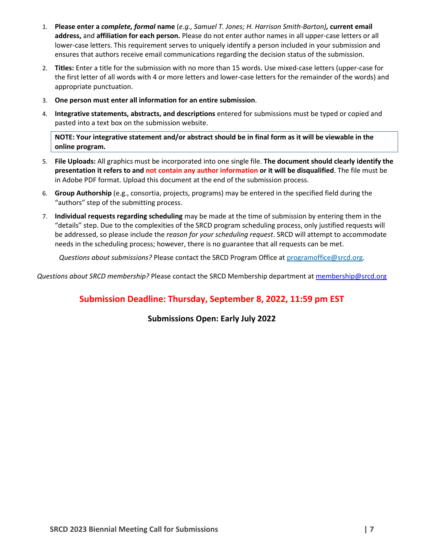- 1. **Please enter a** *complete, formal* **name** (*e.g., Samuel T. Jones; H. Harrison Smith-Barton),* **current email address,** and **affiliation for each person.** Please do not enter author names in all upper-case letters or all lower-case letters. This requirement serves to uniquely identify a person included in your submission and ensures that authors receive email communications regarding the decision status of the submission.
- 2. **Titles:** Enter a title for the submission with no more than 15 words. Use mixed-case letters (upper-case for the first letter of all words with 4 or more letters and lower-case letters for the remainder of the words) and appropriate punctuation.
- 3. **One person must enter all information for an entire submission**.
- 4. **Integrative statements, abstracts, and descriptions** entered for submissions must be typed or copied and pasted into a text box on the submission website.

**NOTE: Your integrative statement and/or abstract should be in final form as it will be viewable in the online program.**

- 5. **File Uploads:** All graphics must be incorporated into one single file. **The document should clearly identify the presentation it refers to and not contain any author information or it will be disqualified**. The file must be in Adobe PDF format. Upload this document at the end of the submission process.
- 6. **Group Authorship** (e.g., consortia, projects, programs) may be entered in the specified field during the "authors" step of the submitting process.
- 7. **Individual requests regarding scheduling** may be made at the time of submission by entering them in the "details" step. Due to the complexities of the SRCD program scheduling process, only justified requests will be addressed, so please include the *reason for your scheduling request*. SRCD will attempt to accommodate needs in the scheduling process; however, there is no guarantee that all requests can be met.

*Questions about submissions?* Please contact the SRCD Program Office at [programoffice@srcd.org.](mailto:programoffice@srcd.org)

*Questions about SRCD membership?* Please contact the SRCD Membership department at [membership@srcd.org](mailto:membership@srcd.org)

# **Submission Deadline: Thursday, September 8, 2022, 11:59 pm EST**

**Submissions Open: Early July 2022**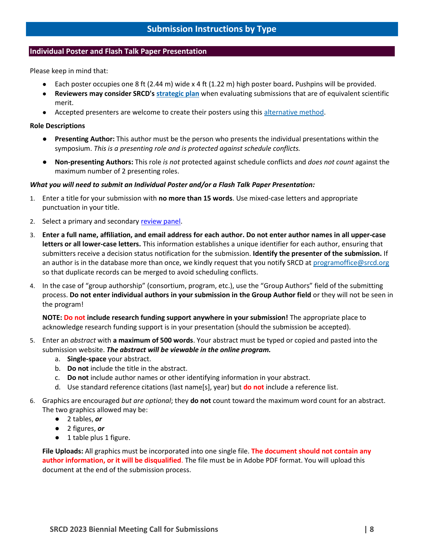#### <span id="page-7-1"></span><span id="page-7-0"></span>**Individual Poster and Flash Talk Paper Presentation**

Please keep in mind that:

- Each poster occupies one 8 ft (2.44 m) wide x 4 ft (1.22 m) high poster board**.** Pushpins will be provided.
- **Reviewers may consider SRCD's [strategic plan](https://www.srcd.org/about-us/mission-scientific-vision)** when evaluating submissions that are of equivalent scientific merit.
- Accepted presenters are welcome to create their posters using this [alternative method.](https://www.youtube.com/watch?v=1RwJbhkCA58&feature=youtu.be)

#### **Role Descriptions**

- **Presenting Author:** This author must be the person who presents the individual presentations within the symposium. *This is a presenting role and is protected against schedule conflicts.*
- **Non-presenting Authors:** This role *is not* protected against schedule conflicts and *does not count* against the maximum number of 2 presenting roles.

#### *What you will need to submit an Individual Poster and/or a Flash Talk Paper Presentation:*

- 1. Enter a title for your submission with **no more than 15 words**. Use mixed-case letters and appropriate punctuation in your title.
- 2. Select a primary and secondary [review panel.](https://www.srcd.org/sites/default/files/file-attachments/2023%20SRCD%20Panels%20and%20Topics.pdf)
- 3. **Enter a full name, affiliation, and email address for each author. Do not enter author names in all upper-case letters or all lower-case letters.** This information establishes a unique identifier for each author, ensuring that submitters receive a decision status notification for the submission. **Identify the presenter of the submission.** If an author is in the database more than once, we kindly request that you notify SRCD at [programoffice@srcd.org](mailto:programoffice@srcd.org) so that duplicate records can be merged to avoid scheduling conflicts.
- 4. In the case of "group authorship" (consortium, program, etc.), use the "Group Authors" field of the submitting process. **Do not enter individual authors in your submission in the Group Author field** or they will not be seen in the program!

**NOTE: Do not include research funding support anywhere in your submission!** The appropriate place to acknowledge research funding support is in your presentation (should the submission be accepted).

- 5. Enter an *abstract* with **a maximum of 500 words**. Your abstract must be typed or copied and pasted into the submission website. *The abstract will be viewable in the online program.*
	- a. **Single-space** your abstract.
	- b. **Do not** include the title in the abstract.
	- c. **Do not** include author names or other identifying information in your abstract.
	- d. Use standard reference citations (last name[s], year) but **do not** include a reference list.
- 6. Graphics are encouraged *but are optional*; they **do not** count toward the maximum word count for an abstract. The two graphics allowed may be:
	- 2 tables, *or*
	- 2 figures, *or*
	- 1 table plus 1 figure.

<span id="page-7-2"></span>**File Uploads:** All graphics must be incorporated into one single file. **The document should not contain any author information, or it will be disqualified**. The file must be in Adobe PDF format. You will upload this document at the end of the submission process.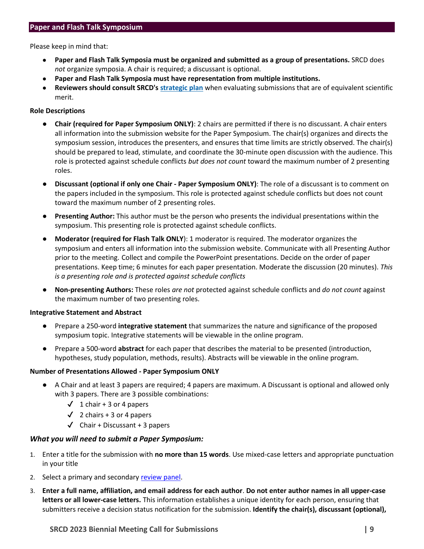#### <span id="page-8-0"></span>**Paper and Flash Talk Symposium**

Please keep in mind that:

- **Paper and Flash Talk Symposia must be organized and submitted as a group of presentations.** SRCD does *not* organize symposia. A chair is required; a discussant is optional.
- **Paper and Flash Talk Symposia must have representation from multiple institutions.**
- **Reviewers should consult SRCD's [strategic plan](https://www.srcd.org/about-us/mission-scientific-vision)** when evaluating submissions that are of equivalent scientific merit.

#### **Role Descriptions**

- **Chair (required for Paper Symposium ONLY)**: 2 chairs are permitted if there is no discussant. A chair enters all information into the submission website for the Paper Symposium. The chair(s) organizes and directs the symposium session, introduces the presenters, and ensures that time limits are strictly observed. The chair(s) should be prepared to lead, stimulate, and coordinate the 30-minute open discussion with the audience. This role is protected against schedule conflicts *but does not count* toward the maximum number of 2 presenting roles.
- **Discussant (optional if only one Chair - Paper Symposium ONLY)**: The role of a discussant is to comment on the papers included in the symposium. This role is protected against schedule conflicts but does not count toward the maximum number of 2 presenting roles.
- **Presenting Author:** This author must be the person who presents the individual presentations within the symposium. This presenting role is protected against schedule conflicts.
- **Moderator (required for Flash Talk ONLY**): 1 moderator is required. The moderator organizes the symposium and enters all information into the submission website. Communicate with all Presenting Author prior to the meeting. Collect and compile the PowerPoint presentations. Decide on the order of paper presentations. Keep time; 6 minutes for each paper presentation. Moderate the discussion (20 minutes). *This is a presenting role and is protected against schedule conflicts*
- **Non-presenting Authors:** These roles *are not* protected against schedule conflicts and *do not count* against the maximum number of two presenting roles.

#### **Integrative Statement and Abstract**

- Prepare a 250-word **integrative statement** that summarizes the nature and significance of the proposed symposium topic. Integrative statements will be viewable in the online program.
- Prepare a 500-word **abstract** for each paper that describes the material to be presented (introduction, hypotheses, study population, methods, results). Abstracts will be viewable in the online program.

#### **Number of Presentations Allowed - Paper Symposium ONLY**

- A Chair and at least 3 papers are required; 4 papers are maximum. A Discussant is optional and allowed only with 3 papers. There are 3 possible combinations:
	- $\checkmark$  1 chair + 3 or 4 papers
	- $\sqrt{2}$  chairs + 3 or 4 papers
	- $\checkmark$  Chair + Discussant + 3 papers

#### *What you will need to submit a Paper Symposium:*

- 1. Enter a title for the submission with **no more than 15 words**. Use mixed-case letters and appropriate punctuation in your title
- 2. Select a primary and secondary [review panel.](https://www.srcd.org/sites/default/files/file-attachments/2023%20SRCD%20Panels%20and%20Topics.pdf)
- 3. **Enter a full name, affiliation, and email address for each author**. **Do not enter author names in all upper-case letters or all lower-case letters.** This information establishes a unique identity for each person, ensuring that submitters receive a decision status notification for the submission. **Identify the chair(s), discussant (optional),**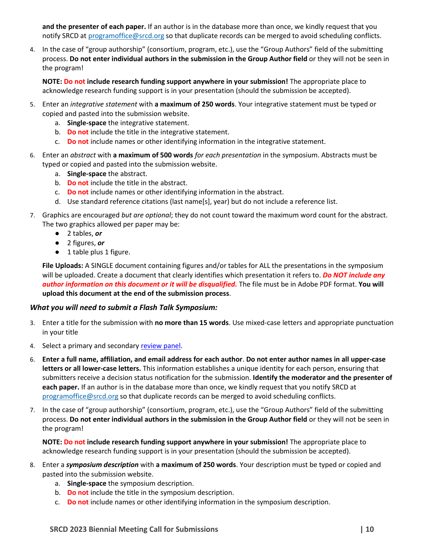**and the presenter of each paper.** If an author is in the database more than once, we kindly request that you notify SRCD a[t programoffice@srcd.org](mailto:programoffice@srcd.org) so that duplicate records can be merged to avoid scheduling conflicts.

4. In the case of "group authorship" (consortium, program, etc.), use the "Group Authors" field of the submitting process. **Do not enter individual authors in the submission in the Group Author field** or they will not be seen in the program!

**NOTE: Do not include research funding support anywhere in your submission!** The appropriate place to acknowledge research funding support is in your presentation (should the submission be accepted).

- 5. Enter an *integrative statement* with **a maximum of 250 words**. Your integrative statement must be typed or copied and pasted into the submission website.
	- a. **Single-space** the integrative statement.
	- b. **Do not** include the title in the integrative statement.
	- c. **Do not** include names or other identifying information in the integrative statement.
- 6. Enter an *abstract* with **a maximum of 500 words** *for each presentation* in the symposium. Abstracts must be typed or copied and pasted into the submission website.
	- a. **Single-space** the abstract.
	- b. **Do not** include the title in the abstract.
	- c. **Do not** include names or other identifying information in the abstract.
	- d. Use standard reference citations (last name[s], year) but do not include a reference list.
- 7. Graphics are encouraged *but are optional*; they do not count toward the maximum word count for the abstract. The two graphics allowed per paper may be:
	- 2 tables, *or*
	- 2 figures, *or*
	- 1 table plus 1 figure.

**File Uploads:** A SINGLE document containing figures and/or tables for ALL the presentations in the symposium will be uploaded. Create a document that clearly identifies which presentation it refers to. *Do NOT include any author information on this document or it will be disqualified.* The file must be in Adobe PDF format. **You will upload this document at the end of the submission process**.

#### *What you will need to submit a Flash Talk Symposium:*

- 3. Enter a title for the submission with **no more than 15 words**. Use mixed-case letters and appropriate punctuation in your title
- 4. Select a primary and secondary [review panel.](https://www.srcd.org/sites/default/files/file-attachments/2023%20SRCD%20Panels%20and%20Topics.pdf)
- 6. **Enter a full name, affiliation, and email address for each author**. **Do not enter author names in all upper-case letters or all lower-case letters.** This information establishes a unique identity for each person, ensuring that submitters receive a decision status notification for the submission. **Identify the moderator and the presenter of each paper.** If an author is in the database more than once, we kindly request that you notify SRCD at [programoffice@srcd.org](mailto:programoffice@srcd.org) so that duplicate records can be merged to avoid scheduling conflicts.
- 7. In the case of "group authorship" (consortium, program, etc.), use the "Group Authors" field of the submitting process. **Do not enter individual authors in the submission in the Group Author field** or they will not be seen in the program!

**NOTE: Do not include research funding support anywhere in your submission!** The appropriate place to acknowledge research funding support is in your presentation (should the submission be accepted).

- 8. Enter a *symposium description* with **a maximum of 250 words**. Your description must be typed or copied and pasted into the submission website.
	- a. **Single-space** the symposium description.
	- b. **Do not** include the title in the symposium description.
	- c. **Do not** include names or other identifying information in the symposium description.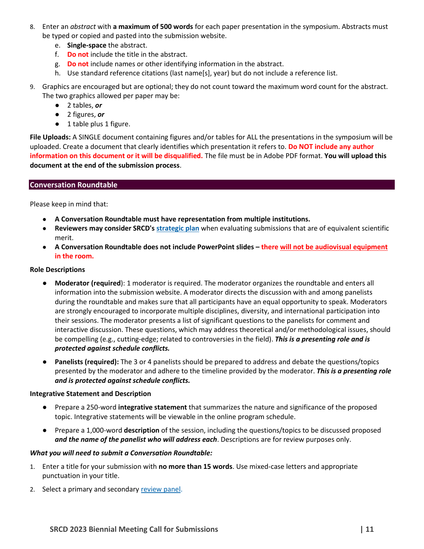- 8. Enter an *abstract* with **a maximum of 500 words** for each paper presentation in the symposium. Abstracts must be typed or copied and pasted into the submission website.
	- e. **Single-space** the abstract.
	- f. **Do not** include the title in the abstract.
	- g. **Do not** include names or other identifying information in the abstract.
	- h. Use standard reference citations (last name[s], year) but do not include a reference list.
- 9. Graphics are encouraged but are optional; they do not count toward the maximum word count for the abstract. The two graphics allowed per paper may be:
	- 2 tables, *or*
	- 2 figures, *or*
	- 1 table plus 1 figure.

**File Uploads:** A SINGLE document containing figures and/or tables for ALL the presentations in the symposium will be uploaded. Create a document that clearly identifies which presentation it refers to. **Do NOT include any author information on this document or it will be disqualified.** The file must be in Adobe PDF format. **You will upload this document at the end of the submission process**.

#### <span id="page-10-0"></span>**Conversation Roundtable**

Please keep in mind that:

- **A Conversation Roundtable must have representation from multiple institutions.**
- **Reviewers may consider SRCD's [strategic plan](https://www.srcd.org/about-us/mission-scientific-vision)** when evaluating submissions that are of equivalent scientific merit.
- **A Conversation Roundtable does not include PowerPoint slides – there will not be audiovisual equipment in the room.**

#### **Role Descriptions**

- **Moderator (required**): 1 moderator is required. The moderator organizes the roundtable and enters all information into the submission website. A moderator directs the discussion with and among panelists during the roundtable and makes sure that all participants have an equal opportunity to speak. Moderators are strongly encouraged to incorporate multiple disciplines, diversity, and international participation into their sessions. The moderator presents a list of significant questions to the panelists for comment and interactive discussion. These questions, which may address theoretical and/or methodological issues, should be compelling (e.g., cutting-edge; related to controversies in the field). *This is a presenting role and is protected against schedule conflicts.*
- **Panelists (required):** The 3 or 4 panelists should be prepared to address and debate the questions/topics presented by the moderator and adhere to the timeline provided by the moderator. *This is a presenting role and is protected against schedule conflicts.*

#### **Integrative Statement and Description**

- Prepare a 250-word **integrative statement** that summarizes the nature and significance of the proposed topic. Integrative statements will be viewable in the online program schedule.
- Prepare a 1,000-word **description** of the session, including the questions/topics to be discussed proposed *and the name of the panelist who will address each*. Descriptions are for review purposes only.

#### *What you will need to submit a Conversation Roundtable:*

- 1. Enter a title for your submission with **no more than 15 words**. Use mixed-case letters and appropriate punctuation in your title.
- 2. Select a primary and secondary [review panel.](https://www.srcd.org/sites/default/files/file-attachments/2023%20SRCD%20Panels%20and%20Topics.pdf)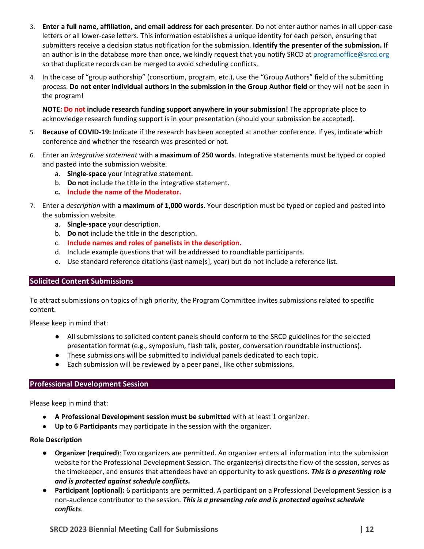- 3. **Enter a full name, affiliation, and email address for each presenter**. Do not enter author names in all upper-case letters or all lower-case letters. This information establishes a unique identity for each person, ensuring that submitters receive a decision status notification for the submission. **Identify the presenter of the submission.** If an author is in the database more than once, we kindly request that you notify SRCD a[t programoffice@srcd.org](mailto:programoffice@srcd.org) so that duplicate records can be merged to avoid scheduling conflicts.
- 4. In the case of "group authorship" (consortium, program, etc.), use the "Group Authors" field of the submitting process. **Do not enter individual authors in the submission in the Group Author field** or they will not be seen in the program!

**NOTE: Do not include research funding support anywhere in your submission!** The appropriate place to acknowledge research funding support is in your presentation (should your submission be accepted).

- 5. **Because of COVID-19:** Indicate if the research has been accepted at another conference. If yes, indicate which conference and whether the research was presented or not.
- 6. Enter an *integrative statement* with **a maximum of 250 words**. Integrative statements must be typed or copied and pasted into the submission website.
	- a. **Single-space** your integrative statement.
	- b. **Do not** include the title in the integrative statement.
	- **c. Include the name of the Moderator.**
- 7. Enter a *description* with **a maximum of 1,000 words**. Your description must be typed or copied and pasted into the submission website.
	- a. **Single-space** your description.
	- b. **Do not** include the title in the description.
	- c. **Include names and roles of panelists in the description.**
	- d. Include example questions that will be addressed to roundtable participants.
	- e. Use standard reference citations (last name[s], year) but do not include a reference list.

#### <span id="page-11-0"></span>**Solicited Content Submissions**

To attract submissions on topics of high priority, the Program Committee invites submissions related to specific content.

Please keep in mind that:

- All submissions to solicited content panels should conform to the SRCD guidelines for the selected presentation format (e.g., symposium, flash talk, poster, conversation roundtable instructions).
- These submissions will be submitted to individual panels dedicated to each topic.
- Each submission will be reviewed by a peer panel, like other submissions.

#### <span id="page-11-1"></span>**Professional Development Session**

Please keep in mind that:

- **A Professional Development session must be submitted** with at least 1 organizer.
- **Up to 6 Participants** may participate in the session with the organizer.

#### **Role Description**

- **Organizer (required**): Two organizers are permitted. An organizer enters all information into the submission website for the Professional Development Session. The organizer(s) directs the flow of the session, serves as the timekeeper, and ensures that attendees have an opportunity to ask questions. *This is a presenting role and is protected against schedule conflicts.*
- **Participant (optional):** 6 participants are permitted. A participant on a Professional Development Session is a non-audience contributor to the session. *This is a presenting role and is protected against schedule conflicts.*